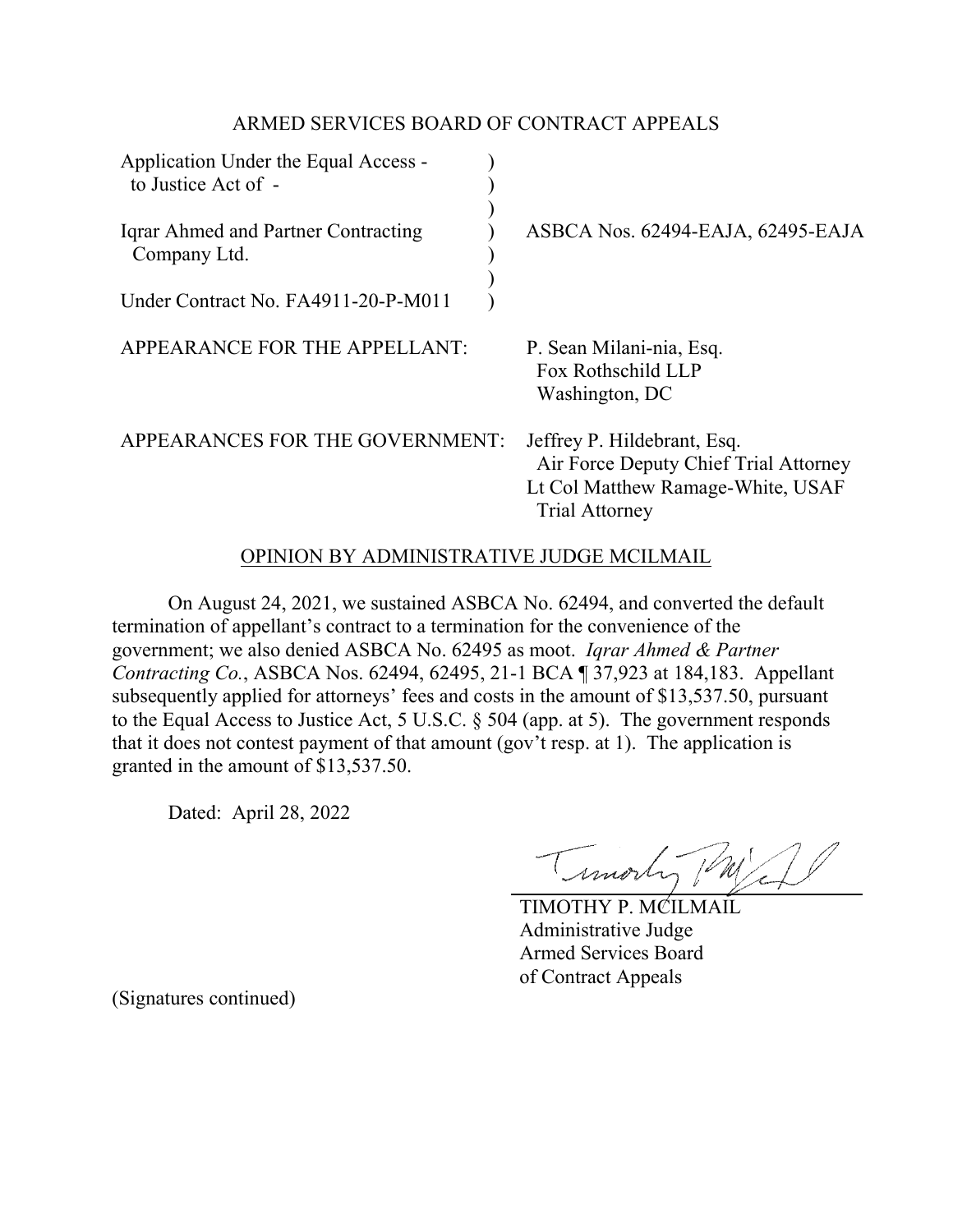## ARMED SERVICES BOARD OF CONTRACT APPEALS

| Application Under the Equal Access -<br>to Justice Act of - |                                                                                                                                    |
|-------------------------------------------------------------|------------------------------------------------------------------------------------------------------------------------------------|
| Igrar Ahmed and Partner Contracting<br>Company Ltd.         | ASBCA Nos. 62494-EAJA, 62495-EAJA                                                                                                  |
| Under Contract No. FA4911-20-P-M011                         |                                                                                                                                    |
| APPEARANCE FOR THE APPELLANT:                               | P. Sean Milani-nia, Esq.<br>Fox Rothschild LLP<br>Washington, DC                                                                   |
| APPEARANCES FOR THE GOVERNMENT:                             | Jeffrey P. Hildebrant, Esq.<br>Air Force Deputy Chief Trial Attorney<br>Lt Col Matthew Ramage-White, USAF<br><b>Trial Attorney</b> |

## OPINION BY ADMINISTRATIVE JUDGE MCILMAIL

On August 24, 2021, we sustained ASBCA No. 62494, and converted the default termination of appellant's contract to a termination for the convenience of the government; we also denied ASBCA No. 62495 as moot. *Iqrar Ahmed & Partner Contracting Co.*, ASBCA Nos. 62494, 62495, 21-1 BCA ¶ 37,923 at 184,183. Appellant subsequently applied for attorneys' fees and costs in the amount of \$13,537.50, pursuant to the Equal Access to Justice Act, 5 U.S.C. § 504 (app. at 5). The government responds that it does not contest payment of that amount (gov't resp. at 1). The application is granted in the amount of \$13,537.50.

Dated: April 28, 2022

Timorty (M)

TIMOTHY P. MCILMAIL Administrative Judge Armed Services Board of Contract Appeals

(Signatures continued)